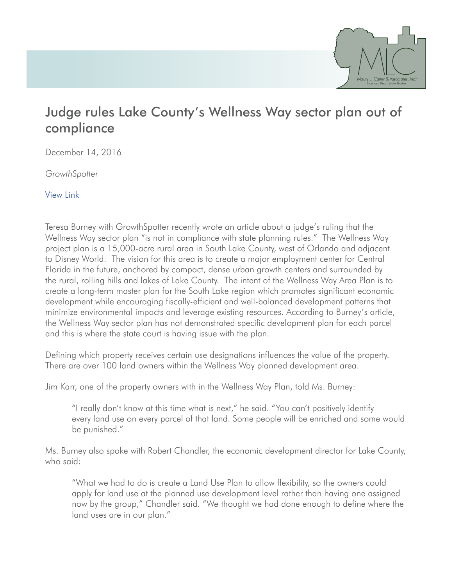

## Judge rules Lake County's Wellness Way sector plan out of compliance

December 14, 2016

*GrowthSpotter*

[View Link](http://www.growthspotter.com/projects/wellness-way/gs-judge-rules-lake-county-s-wellness-way-development-plan-out-of-compliance-20161214-story.html)

Teresa Burney with GrowthSpotter recently wrote an article about a judge's ruling that the Wellness Way sector plan "is not in compliance with state planning rules." The Wellness Way project plan is a 15,000-acre rural area in South Lake County, west of Orlando and adjacent to Disney World. The vision for this area is to create a major employment center for Central Florida in the future, anchored by compact, dense urban growth centers and surrounded by the rural, rolling hills and lakes of Lake County. The intent of the Wellness Way Area Plan is to create a long-term master plan for the South Lake region which promotes significant economic development while encouraging fiscally-efficient and well-balanced development patterns that minimize environmental impacts and leverage existing resources. According to Burney's article, the Wellness Way sector plan has not demonstrated specific development plan for each parcel and this is where the state court is having issue with the plan.

Defining which property receives certain use designations influences the value of the property. There are over 100 land owners within the Wellness Way planned development area.

Jim Karr, one of the property owners with in the Wellness Way Plan, told Ms. Burney:

"I really don't know at this time what is next," he said. "You can't positively identify every land use on every parcel of that land. Some people will be enriched and some would be punished."

Ms. Burney also spoke with Robert Chandler, the economic development director for Lake County, who said:

"What we had to do is create a Land Use Plan to allow flexibility, so the owners could apply for land use at the planned use development level rather than having one assigned now by the group," Chandler said. "We thought we had done enough to define where the land uses are in our plan."